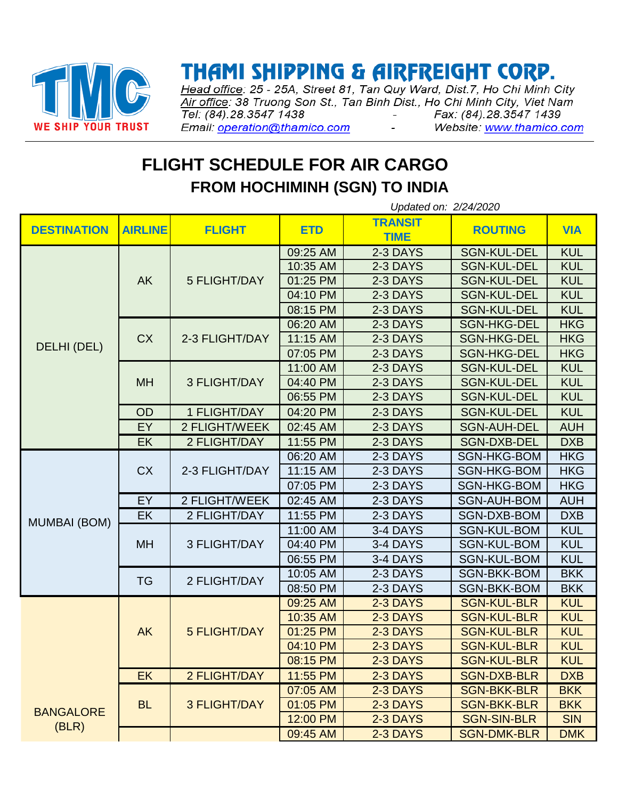

## **THAMI SHIPPING & AIRFREIGHT CORP.**

Head office: 25 - 25A, Street 81, Tan Quy Ward, Dist.7, Ho Chi Minh City Air office: 38 Truong Son St., Tan Binh Dist., Ho Chi Minh City, Viet Nam Tel: (84). 28.3547 1438 Fax: (84).28.3547 1439 and the state of the Email: operation@thamico.com  $\mathbb{L}^{\mathbb{N}}$ Website: www.thamico.com

## **FLIGHT SCHEDULE FOR AIR CARGO FROM HOCHIMINH (SGN) TO INDIA**

|                           |                |                     | Updated on: 2/24/2020 |                               |                    |            |  |  |
|---------------------------|----------------|---------------------|-----------------------|-------------------------------|--------------------|------------|--|--|
| <b>DESTINATION</b>        | <b>AIRLINE</b> | <b>FLIGHT</b>       | <b>ETD</b>            | <b>TRANSIT</b><br><b>TIME</b> | <b>ROUTING</b>     | <b>VIA</b> |  |  |
| DELHI (DEL)               | <b>AK</b>      | 5 FLIGHT/DAY        | 09:25 AM              | 2-3 DAYS                      | <b>SGN-KUL-DEL</b> | <b>KUL</b> |  |  |
|                           |                |                     | 10:35 AM              | 2-3 DAYS                      | <b>SGN-KUL-DEL</b> | <b>KUL</b> |  |  |
|                           |                |                     | 01:25 PM              | 2-3 DAYS                      | <b>SGN-KUL-DEL</b> | <b>KUL</b> |  |  |
|                           |                |                     | 04:10 PM              | 2-3 DAYS                      | <b>SGN-KUL-DEL</b> | <b>KUL</b> |  |  |
|                           |                |                     | 08:15 PM              | 2-3 DAYS                      | <b>SGN-KUL-DEL</b> | <b>KUL</b> |  |  |
|                           | <b>CX</b>      | 2-3 FLIGHT/DAY      | 06:20 AM              | 2-3 DAYS                      | <b>SGN-HKG-DEL</b> | <b>HKG</b> |  |  |
|                           |                |                     | 11:15 AM              | 2-3 DAYS                      | <b>SGN-HKG-DEL</b> | <b>HKG</b> |  |  |
|                           |                |                     | 07:05 PM              | 2-3 DAYS                      | <b>SGN-HKG-DEL</b> | <b>HKG</b> |  |  |
|                           |                | <b>3 FLIGHT/DAY</b> | 11:00 AM              | 2-3 DAYS                      | <b>SGN-KUL-DEL</b> | <b>KUL</b> |  |  |
|                           | <b>MH</b>      |                     | 04:40 PM              | 2-3 DAYS                      | <b>SGN-KUL-DEL</b> | <b>KUL</b> |  |  |
|                           |                |                     | 06:55 PM              | 2-3 DAYS                      | <b>SGN-KUL-DEL</b> | <b>KUL</b> |  |  |
|                           | OD             | 1 FLIGHT/DAY        | 04:20 PM              | 2-3 DAYS                      | <b>SGN-KUL-DEL</b> | <b>KUL</b> |  |  |
|                           | EY             | 2 FLIGHT/WEEK       | 02:45 AM              | 2-3 DAYS                      | <b>SGN-AUH-DEL</b> | <b>AUH</b> |  |  |
|                           | EK             | 2 FLIGHT/DAY        | 11:55 PM              | 2-3 DAYS                      | <b>SGN-DXB-DEL</b> | <b>DXB</b> |  |  |
| <b>MUMBAI (BOM)</b>       | <b>CX</b>      | 2-3 FLIGHT/DAY      | 06:20 AM              | 2-3 DAYS                      | <b>SGN-HKG-BOM</b> | <b>HKG</b> |  |  |
|                           |                |                     | 11:15 AM              | 2-3 DAYS                      | SGN-HKG-BOM        | <b>HKG</b> |  |  |
|                           |                |                     | 07:05 PM              | 2-3 DAYS                      | SGN-HKG-BOM        | <b>HKG</b> |  |  |
|                           | EY             | 2 FLIGHT/WEEK       | 02:45 AM              | 2-3 DAYS                      | SGN-AUH-BOM        | <b>AUH</b> |  |  |
|                           | EK             | 2 FLIGHT/DAY        | 11:55 PM              | 2-3 DAYS                      | SGN-DXB-BOM        | <b>DXB</b> |  |  |
|                           | <b>MH</b>      | 3 FLIGHT/DAY        | 11:00 AM              | 3-4 DAYS                      | SGN-KUL-BOM        | KUL        |  |  |
|                           |                |                     | 04:40 PM              | 3-4 DAYS                      | <b>SGN-KUL-BOM</b> | <b>KUL</b> |  |  |
|                           |                |                     | 06:55 PM              | 3-4 DAYS                      | <b>SGN-KUL-BOM</b> | <b>KUL</b> |  |  |
|                           | <b>TG</b>      | 2 FLIGHT/DAY        | 10:05 AM              | 2-3 DAYS                      | <b>SGN-BKK-BOM</b> | <b>BKK</b> |  |  |
|                           |                |                     | 08:50 PM              | 2-3 DAYS                      | <b>SGN-BKK-BOM</b> | <b>BKK</b> |  |  |
|                           | <b>AK</b>      | <b>5 FLIGHT/DAY</b> | 09:25 AM              | 2-3 DAYS                      | <b>SGN-KUL-BLR</b> | <b>KUL</b> |  |  |
|                           |                |                     | 10:35 AM              | 2-3 DAYS                      | <b>SGN-KUL-BLR</b> | <b>KUL</b> |  |  |
|                           |                |                     | 01:25 PM              | 2-3 DAYS                      | <b>SGN-KUL-BLR</b> | <b>KUL</b> |  |  |
|                           |                |                     | 04:10 PM              | 2-3 DAYS                      | <b>SGN-KUL-BLR</b> | <b>KUL</b> |  |  |
|                           |                |                     | 08:15 PM              | 2-3 DAYS                      | <b>SGN-KUL-BLR</b> | <b>KUL</b> |  |  |
|                           | EK             | 2 FLIGHT/DAY        | 11:55 PM              | 2-3 DAYS                      | <b>SGN-DXB-BLR</b> | <b>DXB</b> |  |  |
| <b>BANGALORE</b><br>(BLR) | <b>BL</b>      | <b>3 FLIGHT/DAY</b> | 07:05 AM              | 2-3 DAYS                      | <b>SGN-BKK-BLR</b> | <b>BKK</b> |  |  |
|                           |                |                     | 01:05 PM              | 2-3 DAYS                      | <b>SGN-BKK-BLR</b> | <b>BKK</b> |  |  |
|                           |                |                     | 12:00 PM              | 2-3 DAYS                      | <b>SGN-SIN-BLR</b> | <b>SIN</b> |  |  |
|                           |                |                     | 09:45 AM              | 2-3 DAYS                      | <b>SGN-DMK-BLR</b> | <b>DMK</b> |  |  |